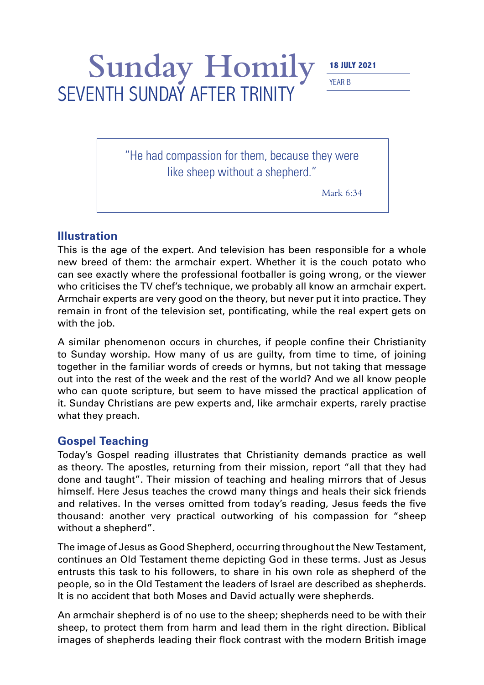## Sunday Homily **18 JULY 2021** SEVENTH SUNDAY AFTER TRINITY

YEAR B

"He had compassion for them, because they were like sheep without a shepherd."

Mark 6:34

## **Illustration**

This is the age of the expert. And television has been responsible for a whole new breed of them: the armchair expert. Whether it is the couch potato who can see exactly where the professional footballer is going wrong, or the viewer who criticises the TV chef's technique, we probably all know an armchair expert. Armchair experts are very good on the theory, but never put it into practice. They remain in front of the television set, pontificating, while the real expert gets on with the job.

A similar phenomenon occurs in churches, if people confine their Christianity to Sunday worship. How many of us are guilty, from time to time, of joining together in the familiar words of creeds or hymns, but not taking that message out into the rest of the week and the rest of the world? And we all know people who can quote scripture, but seem to have missed the practical application of it. Sunday Christians are pew experts and, like armchair experts, rarely practise what they preach.

## **Gospel Teaching**

Today's Gospel reading illustrates that Christianity demands practice as well as theory. The apostles, returning from their mission, report "all that they had done and taught". Their mission of teaching and healing mirrors that of Jesus himself. Here Jesus teaches the crowd many things and heals their sick friends and relatives. In the verses omitted from today's reading, Jesus feeds the five thousand: another very practical outworking of his compassion for "sheep without a shepherd".

The image of Jesus as Good Shepherd, occurring throughout the New Testament, continues an Old Testament theme depicting God in these terms. Just as Jesus entrusts this task to his followers, to share in his own role as shepherd of the people, so in the Old Testament the leaders of Israel are described as shepherds. It is no accident that both Moses and David actually were shepherds.

An armchair shepherd is of no use to the sheep; shepherds need to be with their sheep, to protect them from harm and lead them in the right direction. Biblical images of shepherds leading their flock contrast with the modern British image